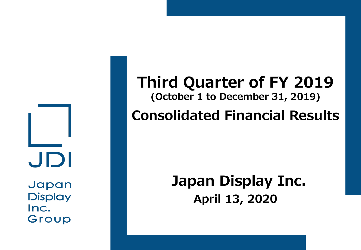JDI Japan

**Display** Inc. Group

## **Third Quarter of FY 2019 (October 1 to December 31, 2019)**

## **Consolidated Financial Results**

## **April 13, 2020 Japan Display Inc.**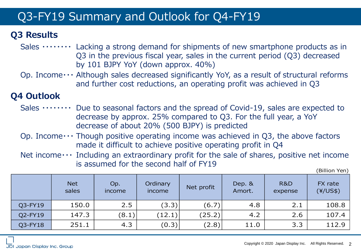### Q3-FY19 Summary and Outlook for Q4-FY19

#### **Q3 Results**

- Sales  $\cdots \cdots$  Lacking a strong demand for shipments of new smartphone products as in Q3 in the previous fiscal year, sales in the current period (Q3) decreased by 101 BJPY YoY (down approx. 40%)
- Op. Income  $\cdots$  Although sales decreased significantly YoY, as a result of structural reforms and further cost reductions, an operating profit was achieved in Q3

#### **Q4 Outlook**

- Sales  $\cdots \cdots$  Due to seasonal factors and the spread of Covid-19, sales are expected to decrease by approx. 25% compared to Q3. For the full year, a YoY decrease of about 20% (500 BJPY) is predicted
- Op. Income  $\cdots$  Though positive operating income was achieved in Q3, the above factors made it difficult to achieve positive operating profit in Q4
- Net income  $\cdots$  Including an extraordinary profit for the sale of shares, positive net income is assumed for the second half of FY19

(Billion Yen)

|         | <b>Net</b><br>sales | Op.<br>income | Ordinary<br>income | Net profit | Dep. &<br>Amort. | <b>R&amp;D</b><br>expense | FX rate<br>$(\frac{4}{US\$ }) |
|---------|---------------------|---------------|--------------------|------------|------------------|---------------------------|-------------------------------|
| Q3-FY19 | 150.0               | 2.5           | (3.3)              | (6.7)      | 4.8              | 2.1                       | 108.8                         |
| Q2-FY19 | 147.3               | (8.1)         | (12.1)             | (25.2)     | 4.2              | 2.6                       | 107.4                         |
| Q3-FY18 | 251.1               | 4.3           | (0.3)              | (2.8)      | 11.0             | 3.3                       | 112.9                         |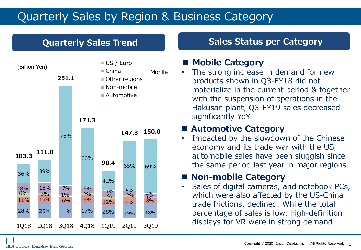#### Quarterly Sales by Region & Business Category



#### **Quarterly Sales Trend Sales Status per Category**

#### **■ Mobile Category**

• The strong increase in demand for new products shown in Q3-FY18 did not materialize in the current period & together with the suspension of operations in the Hakusan plant, Q3-FY19 sales decreased significantly YoY

#### ◼ **Automotive Category**

Impacted by the slowdown of the Chinese economy and its trade war with the US, automobile sales have been sluggish since the same period last year in major regions

#### ■ Non-mobile Category

• Sales of digital cameras, and notebook PCs, which were also affected by the US-China trade frictions, declined. While the total percentage of sales is low, high-definition displays for VR were in strong demand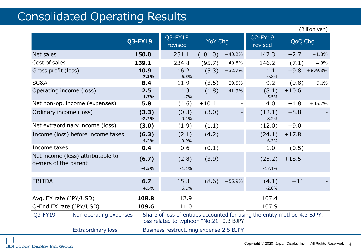#### Consolidated Operating Results

|                                                                        |                                                                                                                                                   |                    |          |          |                    |          | (Billion yen) |
|------------------------------------------------------------------------|---------------------------------------------------------------------------------------------------------------------------------------------------|--------------------|----------|----------|--------------------|----------|---------------|
|                                                                        | <b>Q3-FY19</b>                                                                                                                                    | Q3-FY18<br>revised | YoY Chg. |          | Q2-FY19<br>revised | QoQ Chg. |               |
| Net sales                                                              | 150.0                                                                                                                                             | 251.1              | (101.0)  | $-40.2%$ | 147.3              | $+2.7$   | $+1.8%$       |
| Cost of sales                                                          | 139.1                                                                                                                                             | 234.8              | (95.7)   | $-40.8%$ | 146.2              | (7.1)    | $-4.9%$       |
| Gross profit (loss)                                                    | 10.9<br>7.3%                                                                                                                                      | 16.2<br>6.5%       | (5.3)    | $-32.7%$ | 1.1<br>0.8%        | $+9.8$   | $+879.8%$     |
| SG&A                                                                   | 8.4                                                                                                                                               | 11.9               | (3.5)    | $-29.5%$ | 9.2                | (0.8)    | $-9.1%$       |
| Operating income (loss)                                                | 2.5<br>1.7%                                                                                                                                       | 4.3<br>1.7%        | (1.8)    | $-41.3%$ | (8.1)<br>$-5.5%$   | $+10.6$  |               |
| Net non-op. income (expenses)                                          | 5.8                                                                                                                                               | (4.6)              | $+10.4$  |          | 4.0                | $+1.8$   | $+45.2%$      |
| Ordinary income (loss)                                                 | (3.3)<br>$-2.2%$                                                                                                                                  | (0.3)<br>$-0.1%$   | (3.0)    |          | (12.1)<br>$-8.2%$  | $+8.8$   |               |
| Net extraordinary income (loss)                                        | (3.0)                                                                                                                                             | (1.9)              | (1.1)    |          | (12.0)             | $+9.0$   |               |
| Income (loss) before income taxes                                      | (6.3)<br>$-4.2%$                                                                                                                                  | (2.1)<br>$-0.9%$   | (4.2)    |          | (24.1)<br>$-16.3%$ | $+17.8$  |               |
| Income taxes                                                           | 0.4                                                                                                                                               | 0.6                | (0.1)    |          | 1.0                | (0.5)    |               |
| Net income (loss) attributable to<br>owners of the parent              | (6.7)                                                                                                                                             | (2.8)              | (3.9)    |          | (25.2)             | $+18.5$  |               |
|                                                                        | $-4.5%$                                                                                                                                           | $-1.1%$            |          |          | $-17.1%$           |          |               |
| <b>EBITDA</b>                                                          | 6.7<br>4.5%                                                                                                                                       | 15.3<br>6.1%       | (8.6)    | $-55.9%$ | (4.1)<br>$-2.8%$   | $+11$    |               |
| Avg. FX rate (JPY/USD)                                                 | 108.8                                                                                                                                             | 112.9              |          |          | 107.4              |          |               |
| Q-End FX rate (JPY/USD)                                                | 109.6                                                                                                                                             | 111.0              |          |          | 107.9              |          |               |
| Q3-FY19                                                                | : Share of loss of entities accounted for using the entity method 4.3 BJPY,<br>Non operating expenses<br>loss related to typhoon "No.21" 0.3 BJPY |                    |          |          |                    |          |               |
| <b>Extraordinary loss</b><br>: Business restructuring expense 2.5 BJPY |                                                                                                                                                   |                    |          |          |                    |          |               |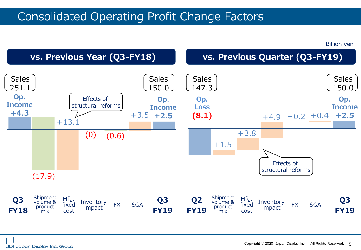#### Consolidated Operating Profit Change Factors

Billion yen

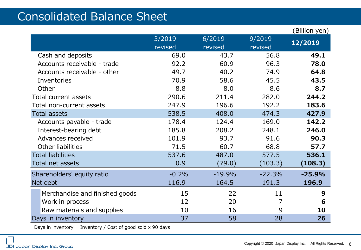#### Consolidated Balance Sheet

|                                                               |                   |                   |                   | (Billion yen) |
|---------------------------------------------------------------|-------------------|-------------------|-------------------|---------------|
|                                                               | 3/2019<br>revised | 6/2019<br>revised | 9/2019<br>revised | 12/2019       |
| Cash and deposits                                             | 69.0              | 43.7              | 56.8              | 49.1          |
| Accounts receivable - trade                                   | 92.2              | 60.9              | 96.3              | 78.0          |
| Accounts receivable - other                                   | 49.7              | 40.2              | 74.9              | 64.8          |
| Inventories                                                   | 70.9              | 58.6              | 45.5              | 43.5          |
| Other                                                         | 8.8               | 8.0               | 8.6               | 8.7           |
| Total current assets                                          | 290.6             | 211.4             | 282.0             | 244.2         |
| Total non-current assets                                      | 247.9             | 196.6             | 192.2             | 183.6         |
| <b>Total assets</b>                                           | 538.5             | 408.0             | 474.3             | 427.9         |
| Accounts payable - trade                                      | 178.4             | 124.4             | 169.0             | 142.2         |
| Interest-bearing debt                                         | 185.8             | 208.2             | 248.1             | 246.0         |
| Advances received                                             | 101.9             | 93.7              | 91.6              | 90.3          |
| Other liabilities                                             | 71.5              | 60.7              | 68.8              | 57.7          |
| <b>Total liabilities</b>                                      | 537.6             | 487.0             | 577.5             | 536.1         |
| Total net assets                                              | 0.9               | (79.0)            | (103.3)           | (108.3)       |
| Shareholders' equity ratio                                    | $-0.2%$           | $-19.9%$          | $-22.3%$          | $-25.9%$      |
| Net debt                                                      | 116.9             | 164.5             | 191.3             | 196.9         |
| Merchandise and finished goods                                | 15                | 22                | 11                | 9             |
| Work in process                                               | 12                | 20                | 7                 | 6             |
| Raw materials and supplies                                    | 10                | 16                | 9                 | 10            |
| Days in inventory                                             | 37                | 58                | 28                | 26            |
| Days in inventory = Inventory / Cost of good sold $x$ 90 days |                   |                   |                   |               |

JDI Japan Display Inc. Group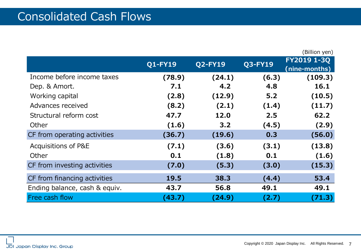|                               |                |                |         | (Billion yen)                |
|-------------------------------|----------------|----------------|---------|------------------------------|
|                               | <b>Q1-FY19</b> | <b>Q2-FY19</b> | Q3-FY19 | FY2019 1-3Q<br>(nine-months) |
| Income before income taxes    | (78.9)         | (24.1)         | (6.3)   | (109.3)                      |
| Dep. & Amort.                 | 7.1            | 4.2            | 4.8     | 16.1                         |
| Working capital               | (2.8)          | (12.9)         | 5.2     | (10.5)                       |
| Advances received             | (8.2)          | (2.1)          | (1.4)   | (11.7)                       |
| Structural reform cost        | 47.7           | 12.0           | 2.5     | 62.2                         |
| Other                         | (1.6)          | 3.2            | (4.5)   | (2.9)                        |
| CF from operating activities  | (36.7)         | (19.6)         | 0.3     | (56.0)                       |
| Acquisitions of P&E           | (7.1)          | (3.6)          | (3.1)   | (13.8)                       |
| Other                         | 0.1            | (1.8)          | 0.1     | (1.6)                        |
| CF from investing activities  | (7.0)          | (5.3)          | (3.0)   | (15.3)                       |
| CF from financing activities  | 19.5           | 38.3           | (4.4)   | 53.4                         |
| Ending balance, cash & equiv. | 43.7           | 56.8           | 49.1    | 49.1                         |
| Free cash flow                | (43.7)         | (24.9)         | (2.7)   | (71.3)                       |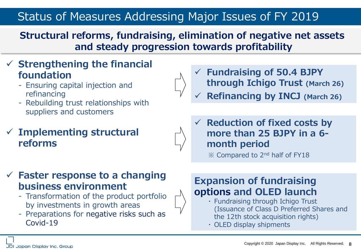#### Status of Measures Addressing Major Issues of FY 2019

**Structural reforms, fundraising, elimination of negative net assets and steady progression towards profitability**

#### ✓ **Strengthening the financial foundation**

- Ensuring capital injection and refinancing
- Rebuilding trust relationships with suppliers and customers

#### ✓ **Implementing structural reforms**



✓ **Fundraising of 50.4 BJPY through Ichigo Trust (March 26)**

- ✓ **Refinancing by INCJ (March 26)**
- ✓ **Reduction of fixed costs by more than 25 BJPY in a 6 month period**

※ Compared to 2nd half of FY18

#### ✓ **Faster response to a changing business environment**

- Transformation of the product portfolio by investments in growth areas
- Preparations for negative risks such as Covid-19

#### **Expansion of fundraising options and OLED launch**

- ・ Fundraising through Ichigo Trust (Issuance of Class D Preferred Shares and the 12th stock acquisition rights)
- ・ OLED display shipments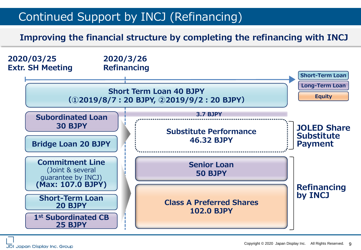### Continued Support by INCJ (Refinancing)

**Improving the financial structure by completing the refinancing with INCJ**



JDI Japan Display Inc. Group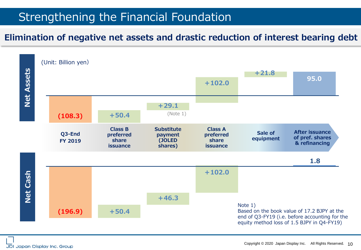#### Strengthening the Financial Foundation

#### **Elimination of negative net assets and drastic reduction of interest bearing debt**

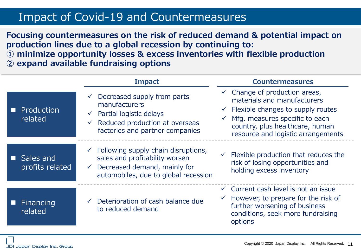#### Impact of Covid-19 and Countermeasures

**Focusing countermeasures on the risk of reduced demand & potential impact on production lines due to a global recession by continuing to:**

**① minimize opportunity losses & excess inventories with flexible production ② expand available fundraising options**

|                                   | <b>Impact</b>                                                                                                                                                                              | <b>Countermeasures</b>                                                                                                                                                                                                                            |
|-----------------------------------|--------------------------------------------------------------------------------------------------------------------------------------------------------------------------------------------|---------------------------------------------------------------------------------------------------------------------------------------------------------------------------------------------------------------------------------------------------|
| <b>Production</b><br>related      | Decreased supply from parts<br>$\checkmark$<br>manufacturers<br>Partial logistic delays<br>$\sqrt{ }$<br>Reduced production at overseas<br>$\checkmark$<br>factories and partner companies | $\checkmark$ Change of production areas,<br>materials and manufacturers<br>$\checkmark$ Flexible changes to supply routes<br>$\checkmark$ Mfg. measures specific to each<br>country, plus healthcare, human<br>resource and logistic arrangements |
| Sales and<br>П<br>profits related | $\checkmark$ Following supply chain disruptions,<br>sales and profitability worsen<br>Decreased demand, mainly for<br>$\checkmark$<br>automobiles, due to global recession                 | $\checkmark$ Flexible production that reduces the<br>risk of losing opportunities and<br>holding excess inventory                                                                                                                                 |
| Financing<br>related              | Deterioration of cash balance due<br>to reduced demand                                                                                                                                     | $\checkmark$ Current cash level is not an issue<br>$\checkmark$ However, to prepare for the risk of<br>further worsening of business<br>conditions, seek more fundraising<br>options                                                              |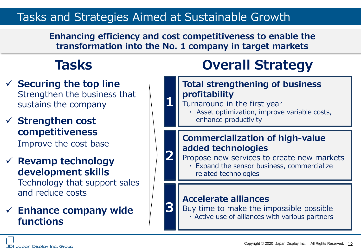#### Tasks and Strategies Aimed at Sustainable Growth

**Enhancing efficiency and cost competitiveness to enable the transformation into the No. 1 company in target markets** 

**1**

**2**

**3**

- ✓ **Securing the top line** Strengthen the business that sustains the company
- ✓ **Strengthen cost competitiveness**  Improve the cost base
- ✓ **Revamp technology development skills** Technology that support sales and reduce costs

#### ✓ **Enhance company wide functions**

# **Tasks Overall Strategy**

#### **Total strengthening of business profitability**

- Turnaround in the first year
	- ・ Asset optimization, improve variable costs, enhance productivity

#### **Commercialization of high-value added technologies**

Propose new services to create new markets

・ Expand the sensor business, commercialize related technologies

#### **Accelerate alliances**

Buy time to make the impossible possible

・ Active use of alliances with various partners